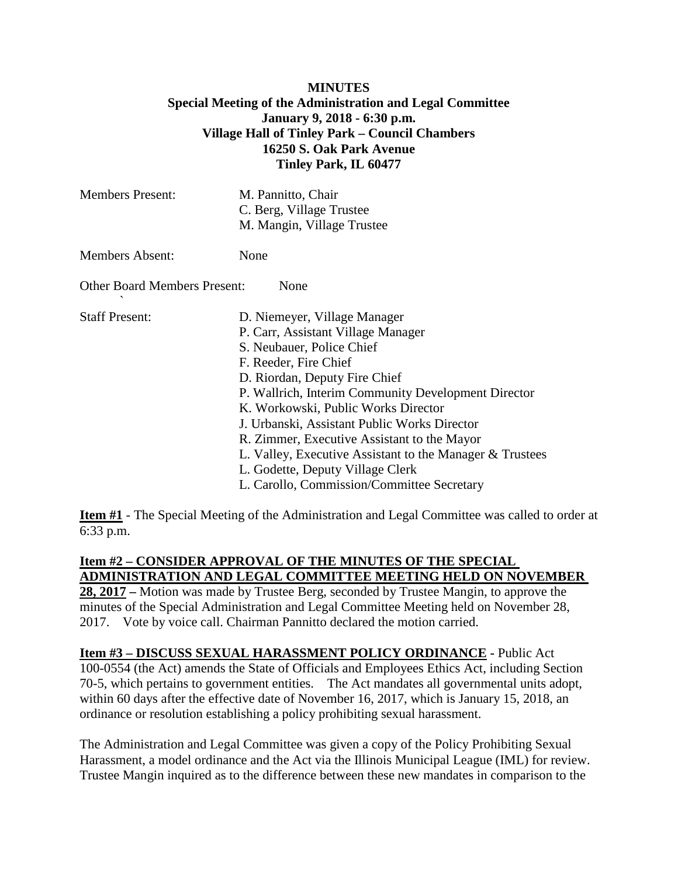#### **MINUTES Special Meeting of the Administration and Legal Committee January 9, 2018 - 6:30 p.m. Village Hall of Tinley Park – Council Chambers 16250 S. Oak Park Avenue Tinley Park, IL 60477**

| <b>Members Present:</b>                     | M. Pannitto, Chair<br>C. Berg, Village Trustee<br>M. Mangin, Village Trustee                                                                                                                                                                                                                                                                                                                                                                                                                         |
|---------------------------------------------|------------------------------------------------------------------------------------------------------------------------------------------------------------------------------------------------------------------------------------------------------------------------------------------------------------------------------------------------------------------------------------------------------------------------------------------------------------------------------------------------------|
| <b>Members Absent:</b>                      | None                                                                                                                                                                                                                                                                                                                                                                                                                                                                                                 |
| <b>Other Board Members Present:</b><br>None |                                                                                                                                                                                                                                                                                                                                                                                                                                                                                                      |
| <b>Staff Present:</b>                       | D. Niemeyer, Village Manager<br>P. Carr, Assistant Village Manager<br>S. Neubauer, Police Chief<br>F. Reeder, Fire Chief<br>D. Riordan, Deputy Fire Chief<br>P. Wallrich, Interim Community Development Director<br>K. Workowski, Public Works Director<br>J. Urbanski, Assistant Public Works Director<br>R. Zimmer, Executive Assistant to the Mayor<br>L. Valley, Executive Assistant to the Manager & Trustees<br>L. Godette, Deputy Village Clerk<br>L. Carollo, Commission/Committee Secretary |

**Item #1** - The Special Meeting of the Administration and Legal Committee was called to order at 6:33 p.m.

### **Item #2 – CONSIDER APPROVAL OF THE MINUTES OF THE SPECIAL ADMINISTRATION AND LEGAL COMMITTEE MEETING HELD ON NOVEMBER**

**28, 2017 –** Motion was made by Trustee Berg, seconded by Trustee Mangin, to approve the minutes of the Special Administration and Legal Committee Meeting held on November 28, 2017. Vote by voice call. Chairman Pannitto declared the motion carried.

# **Item #3 – DISCUSS SEXUAL HARASSMENT POLICY ORDINANCE -** Public Act

100-0554 (the Act) amends the State of Officials and Employees Ethics Act, including Section 70-5, which pertains to government entities. The Act mandates all governmental units adopt, within 60 days after the effective date of November 16, 2017, which is January 15, 2018, an ordinance or resolution establishing a policy prohibiting sexual harassment.

The Administration and Legal Committee was given a copy of the Policy Prohibiting Sexual Harassment, a model ordinance and the Act via the Illinois Municipal League (IML) for review. Trustee Mangin inquired as to the difference between these new mandates in comparison to the